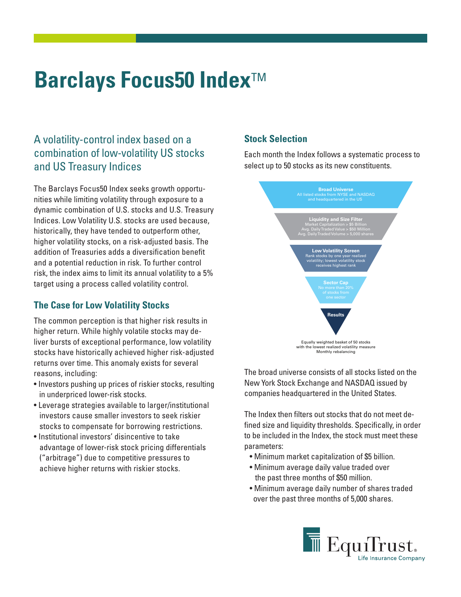# **Barclays Focus50 Index<sup>™</sup>**

## A volatility-control index based on a combination of low-volatility US stocks and US Treasury Indices

The Barclays Focus50 Index seeks growth opportunities while limiting volatility through exposure to a dynamic combination of U.S. stocks and U.S. Treasury Indices. Low Volatility U.S. stocks are used because, historically, they have tended to outperform other, higher volatility stocks, on a risk-adjusted basis. The addition of Treasuries adds a diversification benefit and a potential reduction in risk. To further control risk, the index aims to limit its annual volatility to a 5% target using a process called volatility control.

#### **The Case for Low Volatility Stocks**

The common perception is that higher risk results in higher return. While highly volatile stocks may deliver bursts of exceptional performance, low volatility stocks have historically achieved higher risk-adjusted returns over time. This anomaly exists for several reasons, including:

- Investors pushing up prices of riskier stocks, resulting in underpriced lower-risk stocks.
- Leverage strategies available to larger/institutional investors cause smaller investors to seek riskier stocks to compensate for borrowing restrictions.
- Institutional investors' disincentive to take advantage of lower-risk stock pricing differentials ("arbitrage") due to competitive pressures to achieve higher returns with riskier stocks.

### **Stock Selection**

Each month the Index follows a systematic process to select up to 50 stocks as its new constituents.



The broad universe consists of all stocks listed on the New York Stock Exchange and NASDAQ issued by companies headquartered in the United States.

The Index then filters out stocks that do not meet defined size and liquidity thresholds. Specifically, in order to be included in the Index, the stock must meet these parameters:

- Minimum market capitalization of \$5 billion.
- Minimum average daily value traded over the past three months of \$50 million.
- Minimum average daily number of shares traded over the past three months of 5,000 shares.